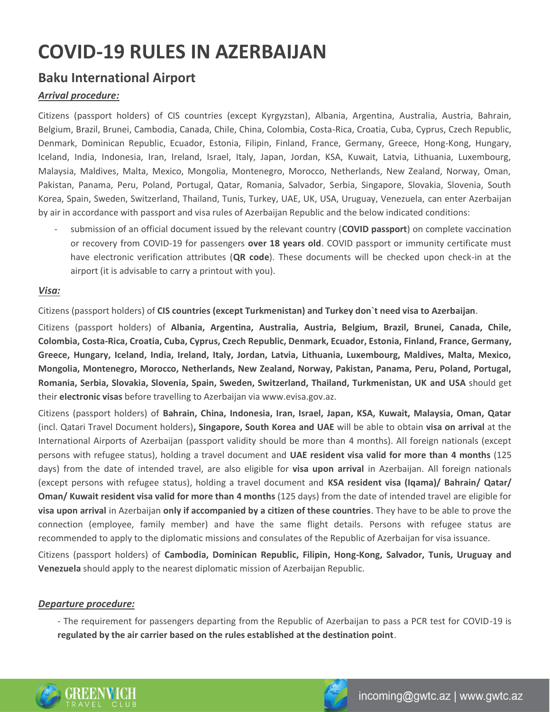# **COVID-19 RULES IN AZERBAIJAN**

## **Baku International Airport**

### *Arrival procedure:*

Citizens (passport holders) of CIS countries (except Kyrgyzstan), Albania, Argentina, Australia, Austria, Bahrain, Belgium, Brazil, Brunei, Cambodia, Canada, Chile, China, Colombia, Costa-Rica, Croatia, Cuba, Cyprus, Czech Republic, Denmark, Dominican Republic, Ecuador, Estonia, Filipin, Finland, France, Germany, Greece, Hong-Kong, Hungary, Iceland, India, Indonesia, Iran, Ireland, Israel, Italy, Japan, Jordan, KSA, Kuwait, Latvia, Lithuania, Luxembourg, Malaysia, Maldives, Malta, Mexico, Mongolia, Montenegro, Morocco, Netherlands, New Zealand, Norway, Oman, Pakistan, Panama, Peru, Poland, Portugal, Qatar, Romania, Salvador, Serbia, Singapore, Slovakia, Slovenia, South Korea, Spain, Sweden, Switzerland, Thailand, Tunis, Turkey, UAE, UK, USA, Uruguay, Venezuela, can enter Azerbaijan by air in accordance with passport and visa rules of Azerbaijan Republic and the below indicated conditions:

- submission of an official document issued by the relevant country (**COVID passport**) on complete vaccination or recovery from COVID-19 for passengers **over 18 years old**. COVID passport or immunity certificate must have electronic verification attributes (**QR code**). These documents will be checked upon check-in at the airport (it is advisable to carry a printout with you).

#### *Visa:*

Citizens (passport holders) of **CIS countries (except Turkmenistan) and Turkey don`t need visa to Azerbaijan**.

Citizens (passport holders) of **Albania, Argentina, Australia, Austria, Belgium, Brazil, Brunei, Canada, Chile, Colombia, Costa-Rica, Croatia, Cuba, Cyprus, Czech Republic, Denmark, Ecuador, Estonia, Finland, France, Germany, Greece, Hungary, Iceland, India, Ireland, Italy, Jordan, Latvia, Lithuania, Luxembourg, Maldives, Malta, Mexico, Mongolia, Montenegro, Morocco, Netherlands, New Zealand, Norway, Pakistan, Panama, Peru, Poland, Portugal, Romania, Serbia, Slovakia, Slovenia, Spain, Sweden, Switzerland, Thailand, Turkmenistan, UK and USA** should get their **electronic visas** before travelling to Azerbaijan via www.evisa.gov.az.

Citizens (passport holders) of **Bahrain, China, Indonesia, Iran, Israel, Japan, KSA, Kuwait, Malaysia, Oman, Qatar**  (incl. Qatari Travel Document holders)**, Singapore, South Korea and UAE** will be able to obtain **visa on arrival** at the International Airports of Azerbaijan (passport validity should be more than 4 months). All foreign nationals (except persons with refugee status), holding a travel document and **UAE resident visa valid for more than 4 months** (125 days) from the date of intended travel, are also eligible for **visa upon arrival** in Azerbaijan. All foreign nationals (except persons with refugee status), holding a travel document and **KSA resident visa (Iqama)/ Bahrain/ Qatar/ Oman/ Kuwait resident visa valid for more than 4 months** (125 days) from the date of intended travel are eligible for **visa upon arrival** in Azerbaijan **only if accompanied by a citizen of these countries**. They have to be able to prove the connection (employee, family member) and have the same flight details. Persons with refugee status are recommended to apply to the diplomatic missions and consulates of the Republic of Azerbaijan for visa issuance.

Citizens (passport holders) of **Cambodia, Dominican Republic, Filipin, Hong-Kong, Salvador, Tunis, Uruguay and Venezuela** should apply to the nearest diplomatic mission of Azerbaijan Republic.

#### *Departure procedure:*

- The requirement for passengers departing from the Republic of Azerbaijan to pass a PCR test for COVID-19 is **regulated by the air carrier based on the rules established at the destination point**.